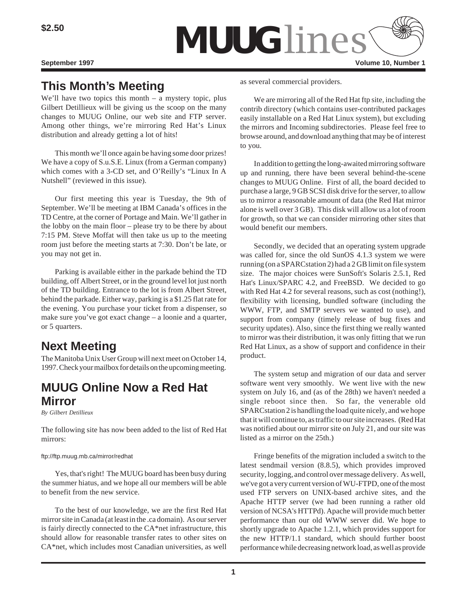

# **This Month's Meeting**

We'll have two topics this month – a mystery topic, plus Gilbert Detillieux will be giving us the scoop on the many changes to MUUG Online, our web site and FTP server. Among other things, we're mirroring Red Hat's Linux distribution and already getting a lot of hits!

This month we'll once again be having some door prizes! We have a copy of S.u.S.E. Linux (from a German company) which comes with a 3-CD set, and O'Reilly's "Linux In A Nutshell" (reviewed in this issue).

Our first meeting this year is Tuesday, the 9th of September. We'll be meeting at IBM Canada's offices in the TD Centre, at the corner of Portage and Main. We'll gather in the lobby on the main floor – please try to be there by about 7:15 PM. Steve Moffat will then take us up to the meeting room just before the meeting starts at 7:30. Don't be late, or you may not get in.

Parking is available either in the parkade behind the TD building, off Albert Street, or in the ground level lot just north of the TD building. Entrance to the lot is from Albert Street, behind the parkade. Either way, parking is a \$1.25 flat rate for the evening. You purchase your ticket from a dispenser, so make sure you've got exact change – a loonie and a quarter, or 5 quarters.

# **Next Meeting**

The Manitoba Unix User Group will next meet on October 14, 1997. Check your mailbox for details on the upcoming meeting.

## **MUUG Online Now a Red Hat Mirror**

*By Gilbert Detillieux*

The following site has now been added to the list of Red Hat mirrors:

#### ftp://ftp.muug.mb.ca/mirror/redhat

Yes, that's right! The MUUG board has been busy during the summer hiatus, and we hope all our members will be able to benefit from the new service.

To the best of our knowledge, we are the first Red Hat mirror site in Canada (at least in the .ca domain). As our server is fairly directly connected to the CA\*net infrastructure, this should allow for reasonable transfer rates to other sites on CA\*net, which includes most Canadian universities, as well

as several commercial providers.

We are mirroring all of the Red Hat ftp site, including the contrib directory (which contains user-contributed packages easily installable on a Red Hat Linux system), but excluding the mirrors and Incoming subdirectories. Please feel free to browse around, and download anything that may be of interest to you.

In addition to getting the long-awaited mirroring software up and running, there have been several behind-the-scene changes to MUUG Online. First of all, the board decided to purchase a large, 9 GB SCSI disk drive for the server, to allow us to mirror a reasonable amount of data (the Red Hat mirror alone is well over 3 GB). This disk will allow us a lot of room for growth, so that we can consider mirroring other sites that would benefit our members.

Secondly, we decided that an operating system upgrade was called for, since the old SunOS 4.1.3 system we were running (on a SPARCstation 2) had a 2 GB limit on file system size. The major choices were SunSoft's Solaris 2.5.1, Red Hat's Linux/SPARC 4.2, and FreeBSD. We decided to go with Red Hat 4.2 for several reasons, such as cost (nothing!), flexibility with licensing, bundled software (including the WWW, FTP, and SMTP servers we wanted to use), and support from company (timely release of bug fixes and security updates). Also, since the first thing we really wanted to mirror was their distribution, it was only fitting that we run Red Hat Linux, as a show of support and confidence in their product.

The system setup and migration of our data and server software went very smoothly. We went live with the new system on July 16, and (as of the 28th) we haven't needed a single reboot since then. So far, the venerable old SPARCstation 2 is handling the load quite nicely, and we hope that it will continue to, as traffic to our site increases. (Red Hat was notified about our mirror site on July 21, and our site was listed as a mirror on the 25th.)

Fringe benefits of the migration included a switch to the latest sendmail version (8.8.5), which provides improved security, logging, and control over message delivery. As well, we've got a very current version of WU-FTPD, one of the most used FTP servers on UNIX-based archive sites, and the Apache HTTP server (we had been running a rather old version of NCSA's HTTPd). Apache will provide much better performance than our old WWW server did. We hope to shortly upgrade to Apache 1.2.1, which provides support for the new HTTP/1.1 standard, which should further boost performance while decreasing network load, as well as provide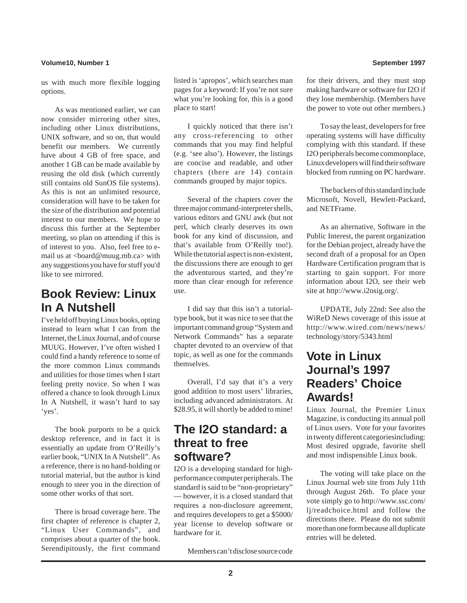#### **Volume10, Number 1 September 1997**

us with much more flexible logging options.

As was mentioned earlier, we can now consider mirroring other sites, including other Linux distributions, UNIX software, and so on, that would benefit our members. We currently have about 4 GB of free space, and another 1 GB can be made available by reusing the old disk (which currently still contains old SunOS file systems). As this is not an unlimited resource, consideration will have to be taken for the size of the distribution and potential interest to our members. We hope to discuss this further at the September meeting, so plan on attending if this is of interest to you. Also, feel free to email us at <board@muug.mb.ca> with any suggestions you have for stuff you'd like to see mirrored.

## **Book Review: Linux In A Nutshell**

I've held off buying Linux books, opting instead to learn what I can from the Internet, the Linux Journal, and of course MUUG. However, I've often wished I could find a handy reference to some of the more common Linux commands and utilities for those times when I start feeling pretty novice. So when I was offered a chance to look through Linux In A Nutshell, it wasn't hard to say 'yes'.

The book purports to be a quick desktop reference, and in fact it is essentially an update from O'Reilly's earlier book, "UNIX In A Nutshell". As a reference, there is no hand-holding or tutorial material, but the author is kind enough to steer you in the direction of some other works of that sort.

There is broad coverage here. The first chapter of reference is chapter 2, "Linux User Commands", and comprises about a quarter of the book. Serendipitously, the first command

listed is 'apropos', which searches man pages for a keyword: If you're not sure what you're looking for, this is a good place to start!

I quickly noticed that there isn't any cross-referencing to other commands that you may find helpful (e.g. 'see also'). However, the listings are concise and readable, and other chapters (there are 14) contain commands grouped by major topics.

Several of the chapters cover the three major command-interpreter shells, various editors and GNU awk (but not perl, which clearly deserves its own book for any kind of discussion, and that's available from O'Reilly too!). While the tutorial aspect is non-existent, the discussions there are enough to get the adventurous started, and they're more than clear enough for reference use.

I did say that this isn't a tutorialtype book, but it was nice to see that the important command group "System and Network Commands" has a separate chapter devoted to an overview of that topic, as well as one for the commands themselves.

Overall, I'd say that it's a very good addition to most users' libraries, including advanced administrators. At \$28.95, it will shortly be added to mine!

## **The I2O standard: a threat to free software?**

I2O is a developing standard for highperformance computer peripherals. The standard is said to be "non-proprietary" — however, it is a closed standard that requires a non-disclosure agreement, and requires developers to get a \$5000/ year license to develop software or hardware for it.

Members can't disclose source code

for their drivers, and they must stop making hardware or software for I2O if they lose membership. (Members have the power to vote out other members.)

To say the least, developers for free operating systems will have difficulty complying with this standard. If these I2O peripherals become commonplace, Linux developers will find their software blocked from running on PC hardware.

The backers of this standard include Microsoft, Novell, Hewlett-Packard, and NETFrame.

As an alternative, Software in the Public Interest, the parent organization for the Debian project, already have the second draft of a proposal for an Open Hardware Certification program that is starting to gain support. For more information about I2O, see their web site at http://www.i2osig.org/.

UPDATE, July 22nd: See also the WiReD News coverage of this issue at http://www.wired.com/news/news/ technology/story/5343.html

## **Vote in Linux Journal's 1997 Readers' Choice Awards!**

Linux Journal, the Premier Linux Magazine, is conducting its annual poll of Linux users. Vote for your favorites in twenty different categories including: Most desired upgrade, favorite shell and most indispensible Linux book.

The voting will take place on the Linux Journal web site from July 11th through August 26th. To place your vote simply go to http://www.ssc.com/ lj/readchoice.html and follow the directions there. Please do not submit more than one form because all duplicate entries will be deleted.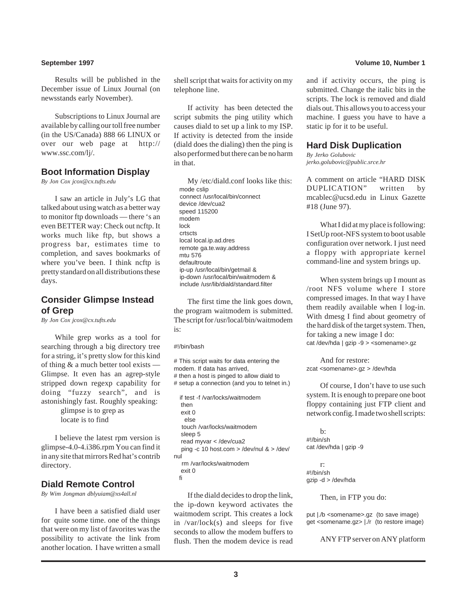Results will be published in the December issue of Linux Journal (on newsstands early November).

Subscriptions to Linux Journal are available by calling our toll free number (in the US/Canada) 888 66 LINUX or over our web page at http:// www.ssc.com/lj/.

#### **Boot Information Display**

*By Jon Cox jcox@cx.tufts.edu*

I saw an article in July's LG that talked about using watch as a better way to monitor ftp downloads — there 's an even BETTER way: Check out ncftp. It works much like ftp, but shows a progress bar, estimates time to completion, and saves bookmarks of where you've been. I think neftp is pretty standard on all distributions these days.

#### **Consider Glimpse Instead of Grep**

*By Jon Cox jcox@cx.tufts.edu*

While grep works as a tool for searching through a big directory tree for a string, it's pretty slow for this kind of thing & a much better tool exists — Glimpse. It even has an agrep-style stripped down regexp capability for doing "fuzzy search", and is astonishingly fast. Roughly speaking: glimpse is to grep as

locate is to find

I believe the latest rpm version is glimpse-4.0-4.i386.rpm You can find it in any site that mirrors Red hat's contrib directory.

### **Diald Remote Control**

*By Wim Jongman dblyuiam@xs4all.nl*

I have been a satisfied diald user for quite some time. one of the things that were on my list of favorites was the possibility to activate the link from another location. I have written a small

shell script that waits for activity on my telephone line.

If activity has been detected the script submits the ping utility which causes diald to set up a link to my ISP. If activity is detected from the inside (diald does the dialing) then the ping is also performed but there can be no harm in that.

My /etc/diald.conf looks like this: mode cslip connect /usr/local/bin/connect device /dev/cua2 speed 115200 modem lock crtscts local local.ip.ad.dres remote ga.te.way.address mtu 576 defaultroute ip-up /usr/local/bin/getmail & ip-down /usr/local/bin/waitmodem & include /usr/lib/diald/standard.filter

The first time the link goes down, the program waitmodem is submitted. The script for /usr/local/bin/waitmodem is:

#!/bin/bash

# This script waits for data entering the modem. If data has arrived, # then a host is pinged to allow diald to # setup a connection (and you to telnet in.) if test -f /var/locks/waitmodem then exit 0 else touch /var/locks/waitmodem sleep 5 read myvar < /dev/cua2 ping -c 10 host.com > /dev/nul & > /dev/ nul rm /var/locks/waitmodem exit 0

fi

If the diald decides to drop the link, the ip-down keyword activates the waitmodem script. This creates a lock in /var/lock(s) and sleeps for five seconds to allow the modem buffers to flush. Then the modem device is read

#### **September 1997 Volume 10, Number 1**

and if activity occurs, the ping is submitted. Change the italic bits in the scripts. The lock is removed and diald dials out. This allows you to access your machine. I guess you have to have a static ip for it to be useful.

#### **Hard Disk Duplication**

*By Jerko Golubovic jerko.golubovic@public.srce.hr*

A comment on article "HARD DISK DUPLICATION" written by mcablec@ucsd.edu in Linux Gazette #18 (June 97).

What I did at my place is following: I SetUp root-NFS system to boot usable configuration over network. I just need a floppy with appropriate kernel command-line and system brings up.

When system brings up I mount as /root NFS volume where I store compressed images. In that way I have them readily available when I log-in. With dmesg I find about geometry of the hard disk of the target system. Then, for taking a new image I do: cat /dev/hda | gzip -9 > <somename>.gz

And for restore: zcat <somename>.gz > /dev/hda

Of course, I don't have to use such system. It is enough to prepare one boot floppy containing just FTP client and network config. I made two shell scripts:

 $h^{\cdot}$ #!/bin/sh cat /dev/hda | gzip -9

r: #!/bin/sh gzip -d > /dev/hda

Then, in FTP you do:

put |./b <somename>.gz (to save image) get <somename.gz> |./r (to restore image)

ANY FTP server on ANY platform